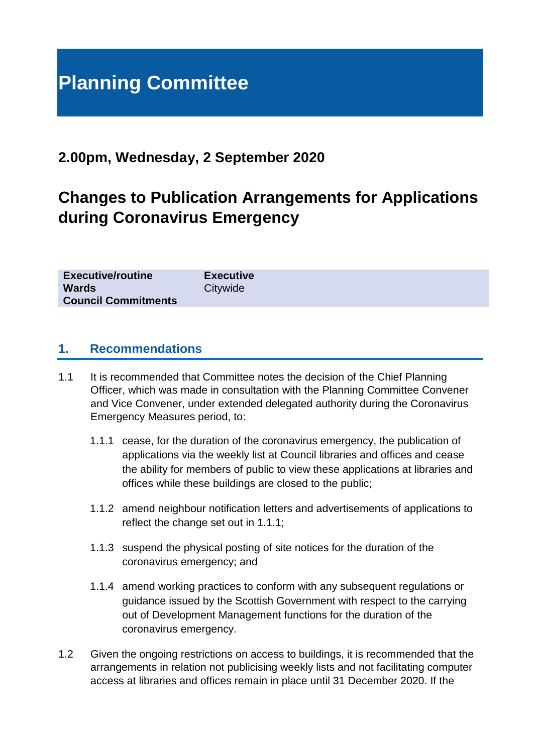# **Planning Committee**

## **2.00pm, Wednesday, 2 September 2020**

# **Changes to Publication Arrangements for Applications during Coronavirus Emergency**

| <b>Executive/routine</b>   | <b>Executive</b> |
|----------------------------|------------------|
| <b>Wards</b>               | Citywide         |
| <b>Council Commitments</b> |                  |

## **1. Recommendations**

- 1.1 It is recommended that Committee notes the decision of the Chief Planning Officer, which was made in consultation with the Planning Committee Convener and Vice Convener, under extended delegated authority during the Coronavirus Emergency Measures period, to:
	- 1.1.1 cease, for the duration of the coronavirus emergency, the publication of applications via the weekly list at Council libraries and offices and cease the ability for members of public to view these applications at libraries and offices while these buildings are closed to the public;
	- 1.1.2 amend neighbour notification letters and advertisements of applications to reflect the change set out in 1.1.1;
	- 1.1.3 suspend the physical posting of site notices for the duration of the coronavirus emergency; and
	- 1.1.4 amend working practices to conform with any subsequent regulations or guidance issued by the Scottish Government with respect to the carrying out of Development Management functions for the duration of the coronavirus emergency.
- 1.2 Given the ongoing restrictions on access to buildings, it is recommended that the arrangements in relation not publicising weekly lists and not facilitating computer access at libraries and offices remain in place until 31 December 2020. If the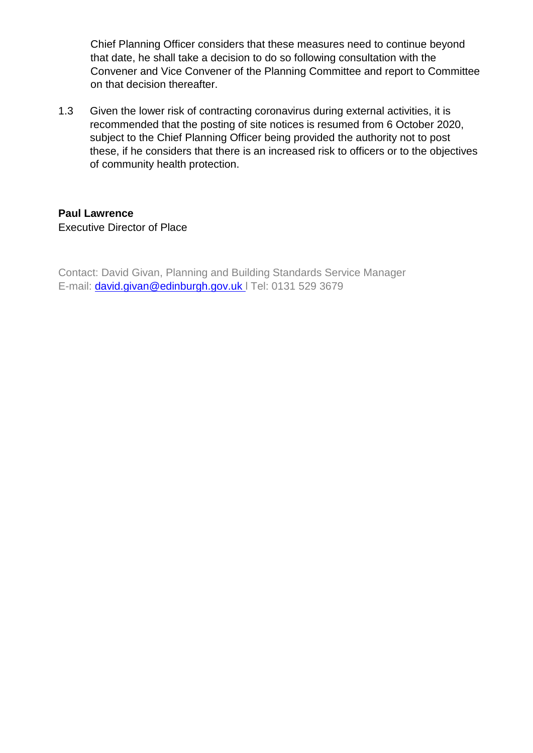Chief Planning Officer considers that these measures need to continue beyond that date, he shall take a decision to do so following consultation with the Convener and Vice Convener of the Planning Committee and report to Committee on that decision thereafter.

1.3 Given the lower risk of contracting coronavirus during external activities, it is recommended that the posting of site notices is resumed from 6 October 2020, subject to the Chief Planning Officer being provided the authority not to post these, if he considers that there is an increased risk to officers or to the objectives of community health protection.

#### **Paul Lawrence** Executive Director of Place

Contact: David Givan, Planning and Building Standards Service Manager E-mail: [david.givan@edinburgh.gov.uk](mailto:david.givan@edinburgh.gov.uk) l Tel: 0131 529 3679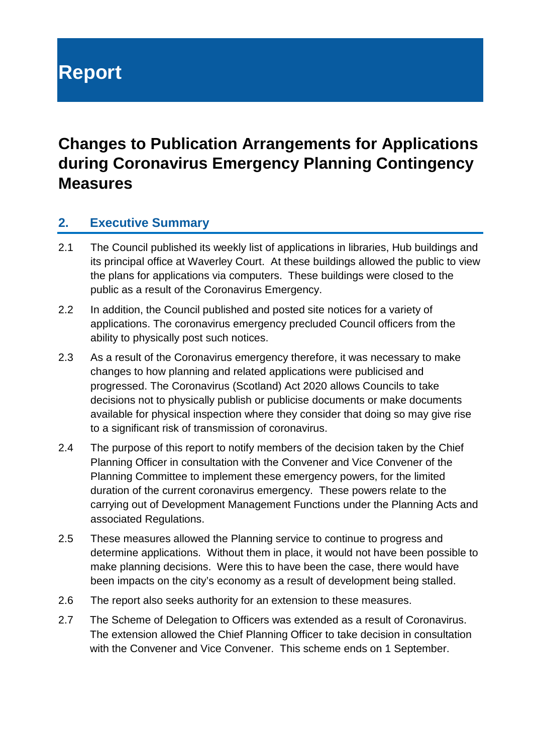# **Report**

# **Changes to Publication Arrangements for Applications during Coronavirus Emergency Planning Contingency Measures**

## **2. Executive Summary**

- 2.1 The Council published its weekly list of applications in libraries, Hub buildings and its principal office at Waverley Court. At these buildings allowed the public to view the plans for applications via computers. These buildings were closed to the public as a result of the Coronavirus Emergency.
- 2.2 In addition, the Council published and posted site notices for a variety of applications. The coronavirus emergency precluded Council officers from the ability to physically post such notices.
- 2.3 As a result of the Coronavirus emergency therefore, it was necessary to make changes to how planning and related applications were publicised and progressed. The Coronavirus (Scotland) Act 2020 allows Councils to take decisions not to physically publish or publicise documents or make documents available for physical inspection where they consider that doing so may give rise to a significant risk of transmission of coronavirus.
- 2.4 The purpose of this report to notify members of the decision taken by the Chief Planning Officer in consultation with the Convener and Vice Convener of the Planning Committee to implement these emergency powers, for the limited duration of the current coronavirus emergency. These powers relate to the carrying out of Development Management Functions under the Planning Acts and associated Regulations.
- 2.5 These measures allowed the Planning service to continue to progress and determine applications. Without them in place, it would not have been possible to make planning decisions. Were this to have been the case, there would have been impacts on the city's economy as a result of development being stalled.
- 2.6 The report also seeks authority for an extension to these measures.
- 2.7 The Scheme of Delegation to Officers was extended as a result of Coronavirus. The extension allowed the Chief Planning Officer to take decision in consultation with the Convener and Vice Convener. This scheme ends on 1 September.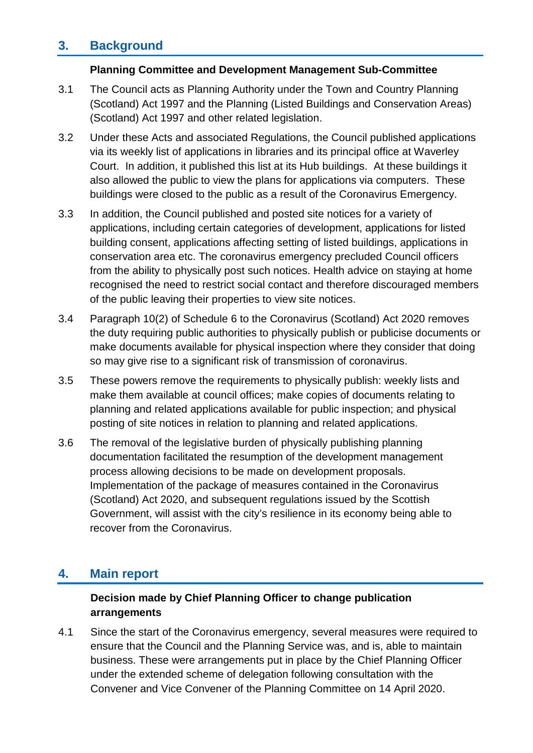## **3. Background**

#### **Planning Committee and Development Management Sub-Committee**

- 3.1 The Council acts as Planning Authority under the Town and Country Planning (Scotland) Act 1997 and the Planning (Listed Buildings and Conservation Areas) (Scotland) Act 1997 and other related legislation.
- 3.2 Under these Acts and associated Regulations, the Council published applications via its weekly list of applications in libraries and its principal office at Waverley Court. In addition, it published this list at its Hub buildings. At these buildings it also allowed the public to view the plans for applications via computers. These buildings were closed to the public as a result of the Coronavirus Emergency.
- 3.3 In addition, the Council published and posted site notices for a variety of applications, including certain categories of development, applications for listed building consent, applications affecting setting of listed buildings, applications in conservation area etc. The coronavirus emergency precluded Council officers from the ability to physically post such notices. Health advice on staying at home recognised the need to restrict social contact and therefore discouraged members of the public leaving their properties to view site notices.
- 3.4 Paragraph 10(2) of Schedule 6 to the Coronavirus (Scotland) Act 2020 removes the duty requiring public authorities to physically publish or publicise documents or make documents available for physical inspection where they consider that doing so may give rise to a significant risk of transmission of coronavirus.
- 3.5 These powers remove the requirements to physically publish: weekly lists and make them available at council offices; make copies of documents relating to planning and related applications available for public inspection; and physical posting of site notices in relation to planning and related applications.
- 3.6 The removal of the legislative burden of physically publishing planning documentation facilitated the resumption of the development management process allowing decisions to be made on development proposals. Implementation of the package of measures contained in the Coronavirus (Scotland) Act 2020, and subsequent regulations issued by the Scottish Government, will assist with the city's resilience in its economy being able to recover from the Coronavirus.

## **4. Main report**

## **Decision made by Chief Planning Officer to change publication arrangements**

4.1 Since the start of the Coronavirus emergency, several measures were required to ensure that the Council and the Planning Service was, and is, able to maintain business. These were arrangements put in place by the Chief Planning Officer under the extended scheme of delegation following consultation with the Convener and Vice Convener of the Planning Committee on 14 April 2020.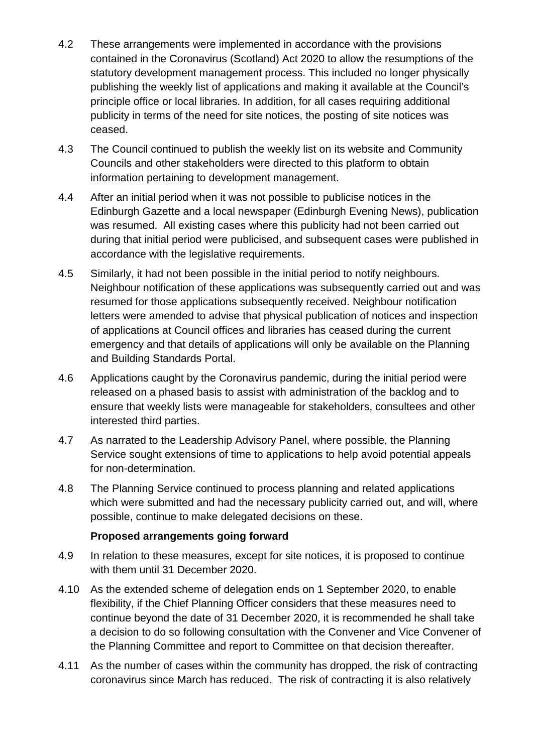- 4.2 These arrangements were implemented in accordance with the provisions contained in the Coronavirus (Scotland) Act 2020 to allow the resumptions of the statutory development management process. This included no longer physically publishing the weekly list of applications and making it available at the Council's principle office or local libraries. In addition, for all cases requiring additional publicity in terms of the need for site notices, the posting of site notices was ceased.
- 4.3 The Council continued to publish the weekly list on its website and Community Councils and other stakeholders were directed to this platform to obtain information pertaining to development management.
- 4.4 After an initial period when it was not possible to publicise notices in the Edinburgh Gazette and a local newspaper (Edinburgh Evening News), publication was resumed. All existing cases where this publicity had not been carried out during that initial period were publicised, and subsequent cases were published in accordance with the legislative requirements.
- 4.5 Similarly, it had not been possible in the initial period to notify neighbours. Neighbour notification of these applications was subsequently carried out and was resumed for those applications subsequently received. Neighbour notification letters were amended to advise that physical publication of notices and inspection of applications at Council offices and libraries has ceased during the current emergency and that details of applications will only be available on the Planning and Building Standards Portal.
- 4.6 Applications caught by the Coronavirus pandemic, during the initial period were released on a phased basis to assist with administration of the backlog and to ensure that weekly lists were manageable for stakeholders, consultees and other interested third parties.
- 4.7 As narrated to the Leadership Advisory Panel, where possible, the Planning Service sought extensions of time to applications to help avoid potential appeals for non-determination.
- 4.8 The Planning Service continued to process planning and related applications which were submitted and had the necessary publicity carried out, and will, where possible, continue to make delegated decisions on these.

#### **Proposed arrangements going forward**

- 4.9 In relation to these measures, except for site notices, it is proposed to continue with them until 31 December 2020.
- 4.10 As the extended scheme of delegation ends on 1 September 2020, to enable flexibility, if the Chief Planning Officer considers that these measures need to continue beyond the date of 31 December 2020, it is recommended he shall take a decision to do so following consultation with the Convener and Vice Convener of the Planning Committee and report to Committee on that decision thereafter.
- 4.11 As the number of cases within the community has dropped, the risk of contracting coronavirus since March has reduced. The risk of contracting it is also relatively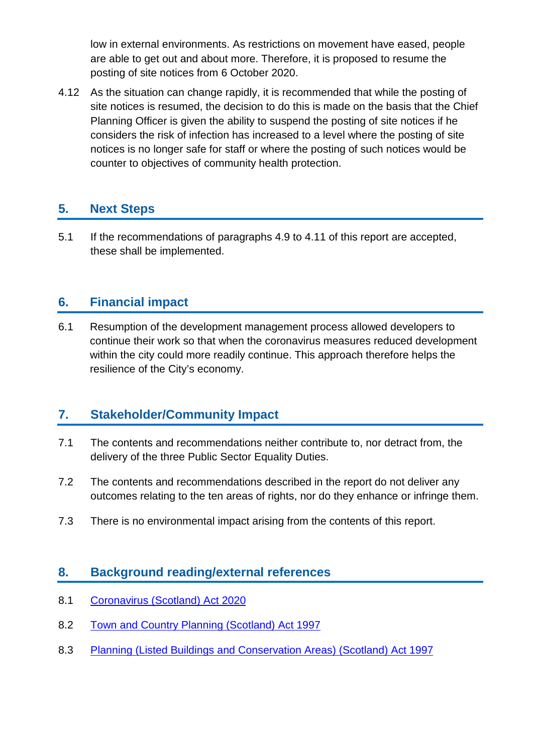low in external environments. As restrictions on movement have eased, people are able to get out and about more. Therefore, it is proposed to resume the posting of site notices from 6 October 2020.

4.12 As the situation can change rapidly, it is recommended that while the posting of site notices is resumed, the decision to do this is made on the basis that the Chief Planning Officer is given the ability to suspend the posting of site notices if he considers the risk of infection has increased to a level where the posting of site notices is no longer safe for staff or where the posting of such notices would be counter to objectives of community health protection.

## **5. Next Steps**

5.1 If the recommendations of paragraphs 4.9 to 4.11 of this report are accepted, these shall be implemented.

## **6. Financial impact**

6.1 Resumption of the development management process allowed developers to continue their work so that when the coronavirus measures reduced development within the city could more readily continue. This approach therefore helps the resilience of the City's economy.

## **7. Stakeholder/Community Impact**

- 7.1 The contents and recommendations neither contribute to, nor detract from, the delivery of the three Public Sector Equality Duties.
- 7.2 The contents and recommendations described in the report do not deliver any outcomes relating to the ten areas of rights, nor do they enhance or infringe them.
- 7.3 There is no environmental impact arising from the contents of this report.

## **8. Background reading/external references**

- 8.1 [Coronavirus \(Scotland\) Act 2020](https://www.legislation.gov.uk/asp/2020/7/contents)
- 8.2 [Town and Country Planning \(Scotland\) Act 1997](https://www.legislation.gov.uk/ukpga/1997/8/contents)
- 8.3 Planning (Listed Buildings and [Conservation Areas\) \(Scotland\) Act 1997](https://www.legislation.gov.uk/ukpga/1997/9/contents)